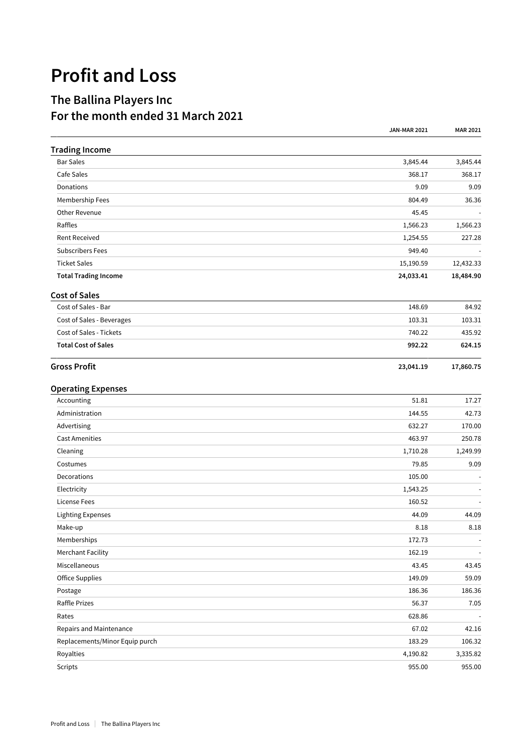## **Profit and Loss**

## **The Ballina Players Inc For the month ended 31 March 2021**

|                                | <b>JAN-MAR 2021</b> | <b>MAR 2021</b> |
|--------------------------------|---------------------|-----------------|
| <b>Trading Income</b>          |                     |                 |
| <b>Bar Sales</b>               | 3,845.44            | 3,845.44        |
| Cafe Sales                     | 368.17              | 368.17          |
| Donations                      | 9.09                | 9.09            |
| Membership Fees                | 804.49              | 36.36           |
| Other Revenue                  | 45.45               |                 |
| Raffles                        | 1,566.23            | 1,566.23        |
| <b>Rent Received</b>           | 1,254.55            | 227.28          |
| <b>Subscribers Fees</b>        | 949.40              |                 |
| <b>Ticket Sales</b>            | 15,190.59           | 12,432.33       |
| <b>Total Trading Income</b>    | 24,033.41           | 18,484.90       |
| <b>Cost of Sales</b>           |                     |                 |
| Cost of Sales - Bar            | 148.69              | 84.92           |
| Cost of Sales - Beverages      | 103.31              | 103.31          |
| Cost of Sales - Tickets        | 740.22              | 435.92          |
| <b>Total Cost of Sales</b>     | 992.22              | 624.15          |
| <b>Gross Profit</b>            | 23,041.19           | 17,860.75       |
| <b>Operating Expenses</b>      |                     |                 |
| Accounting                     | 51.81               | 17.27           |
| Administration                 | 144.55              | 42.73           |
| Advertising                    | 632.27              | 170.00          |
| <b>Cast Amenities</b>          | 463.97              | 250.78          |
| Cleaning                       | 1,710.28            | 1,249.99        |
| Costumes                       | 79.85               | 9.09            |
| Decorations                    | 105.00              |                 |
| Electricity                    | 1,543.25            |                 |
| License Fees                   | 160.52              |                 |
| <b>Lighting Expenses</b>       | 44.09               | 44.09           |
| Make-up                        | 8.18                | 8.18            |
| Memberships                    | 172.73              |                 |
| <b>Merchant Facility</b>       | 162.19              | $\sim$          |
| Miscellaneous                  | 43.45               | 43.45           |
| <b>Office Supplies</b>         | 149.09              | 59.09           |
| Postage                        | 186.36              | 186.36          |
| Raffle Prizes                  | 56.37               | 7.05            |
| Rates                          | 628.86              |                 |
| Repairs and Maintenance        | 67.02               | 42.16           |
| Replacements/Minor Equip purch | 183.29              | 106.32          |
| Royalties                      | 4,190.82            | 3,335.82        |
| Scripts                        | 955.00              | 955.00          |